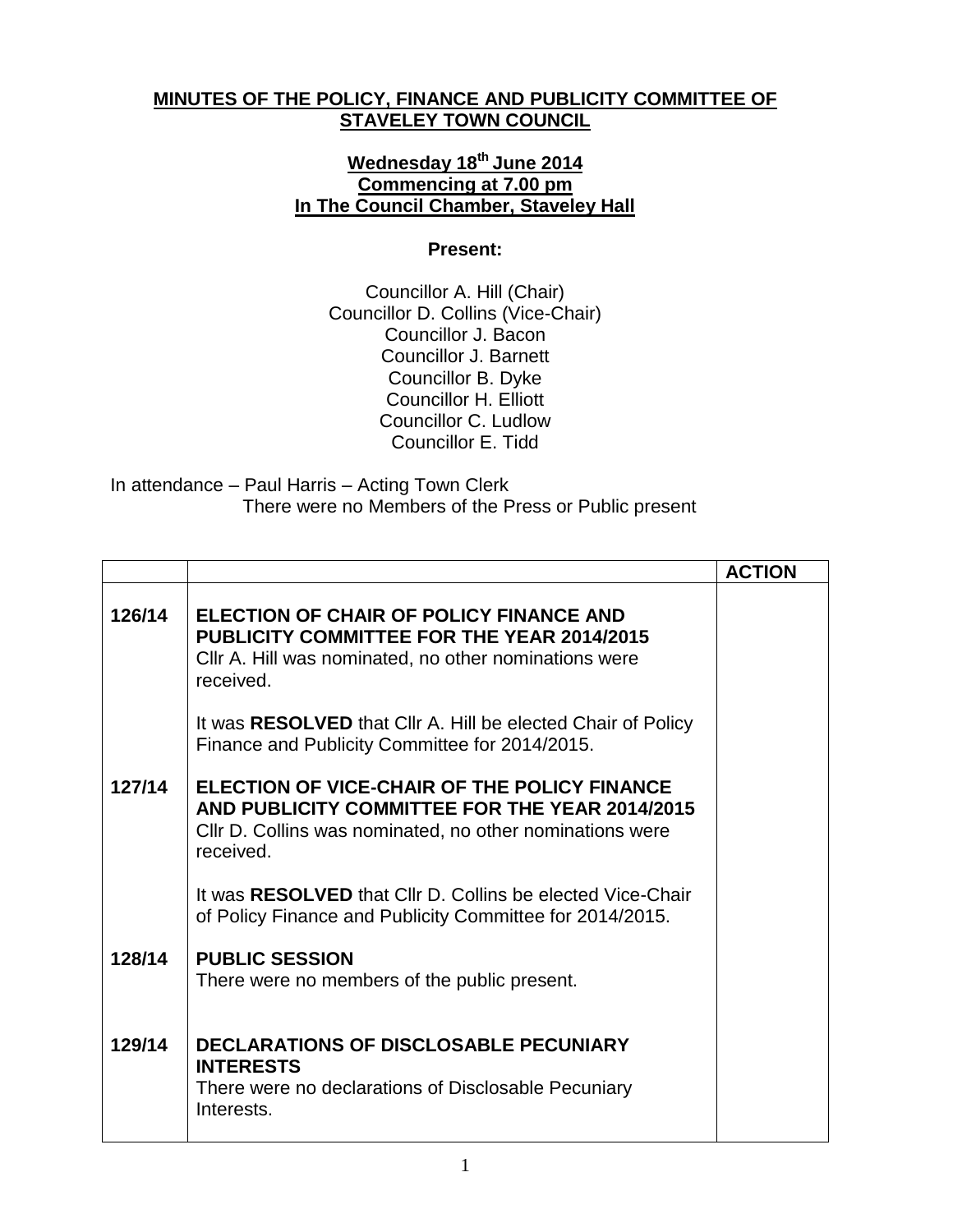## **MINUTES OF THE POLICY, FINANCE AND PUBLICITY COMMITTEE OF STAVELEY TOWN COUNCIL**

## **Wednesday 18th June 2014 Commencing at 7.00 pm In The Council Chamber, Staveley Hall**

## **Present:**

Councillor A. Hill (Chair) Councillor D. Collins (Vice-Chair) Councillor J. Bacon Councillor J. Barnett Councillor B. Dyke Councillor H. Elliott Councillor C. Ludlow Councillor E. Tidd

## In attendance – Paul Harris – Acting Town Clerk There were no Members of the Press or Public present

|        |                                                                                                                                                                         | <b>ACTION</b> |
|--------|-------------------------------------------------------------------------------------------------------------------------------------------------------------------------|---------------|
| 126/14 | ELECTION OF CHAIR OF POLICY FINANCE AND<br><b>PUBLICITY COMMITTEE FOR THE YEAR 2014/2015</b><br>Cllr A. Hill was nominated, no other nominations were<br>received.      |               |
|        | It was RESOLVED that Cllr A. Hill be elected Chair of Policy<br>Finance and Publicity Committee for 2014/2015.                                                          |               |
| 127/14 | ELECTION OF VICE-CHAIR OF THE POLICY FINANCE<br>AND PUBLICITY COMMITTEE FOR THE YEAR 2014/2015<br>CIIr D. Collins was nominated, no other nominations were<br>received. |               |
|        | It was RESOLVED that CIIr D. Collins be elected Vice-Chair<br>of Policy Finance and Publicity Committee for 2014/2015.                                                  |               |
| 128/14 | <b>PUBLIC SESSION</b><br>There were no members of the public present.                                                                                                   |               |
| 129/14 | <b>DECLARATIONS OF DISCLOSABLE PECUNIARY</b><br><b>INTERESTS</b><br>There were no declarations of Disclosable Pecuniary<br>Interests.                                   |               |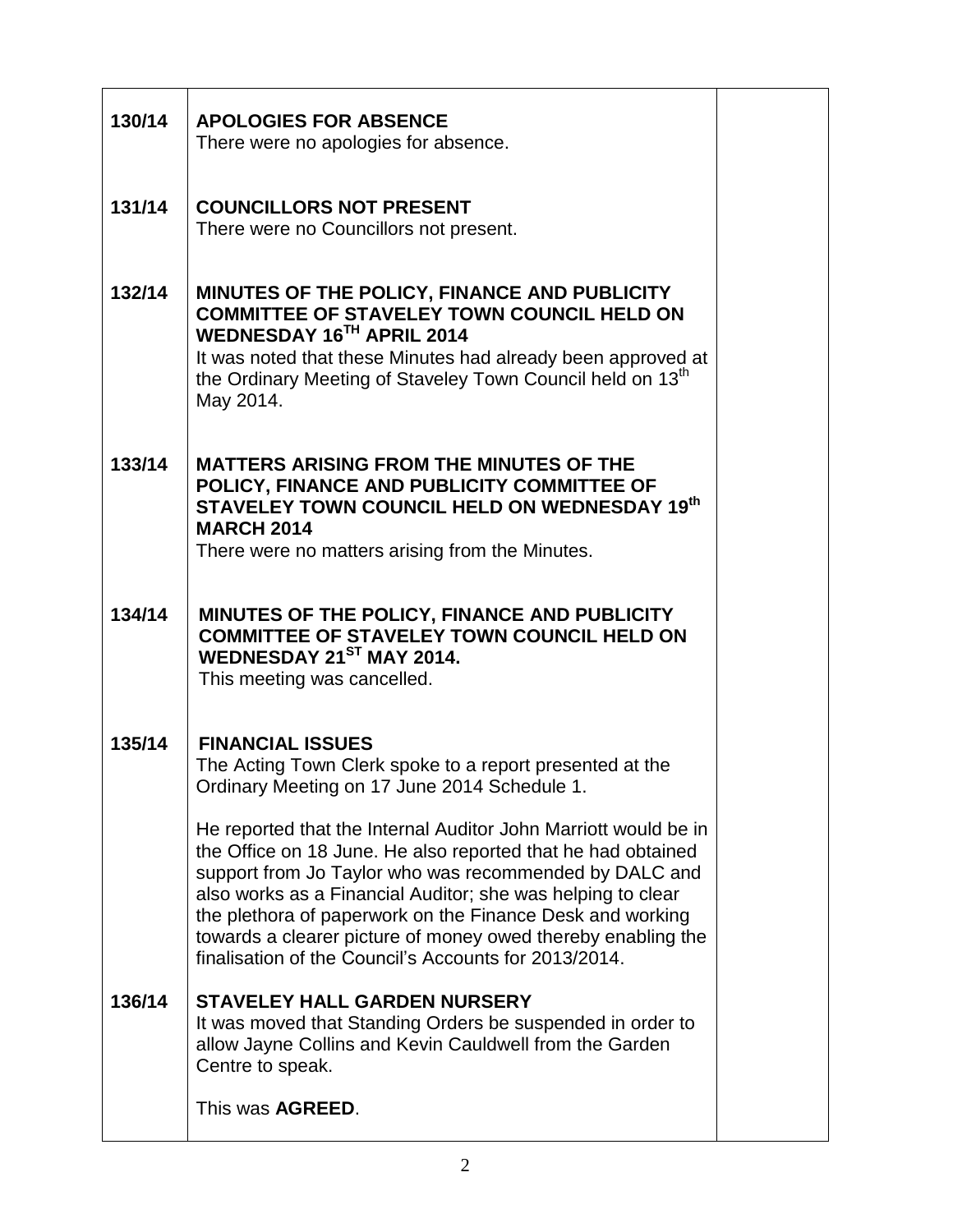| 130/14 | <b>APOLOGIES FOR ABSENCE</b><br>There were no apologies for absence.                                                                                                                                                                                                                                                                                                                                                                                                                                                                                                                 |  |
|--------|--------------------------------------------------------------------------------------------------------------------------------------------------------------------------------------------------------------------------------------------------------------------------------------------------------------------------------------------------------------------------------------------------------------------------------------------------------------------------------------------------------------------------------------------------------------------------------------|--|
| 131/14 | <b>COUNCILLORS NOT PRESENT</b><br>There were no Councillors not present.                                                                                                                                                                                                                                                                                                                                                                                                                                                                                                             |  |
| 132/14 | MINUTES OF THE POLICY, FINANCE AND PUBLICITY<br><b>COMMITTEE OF STAVELEY TOWN COUNCIL HELD ON</b><br>WEDNESDAY 16TH APRIL 2014<br>It was noted that these Minutes had already been approved at<br>the Ordinary Meeting of Staveley Town Council held on 13 <sup>th</sup><br>May 2014.                                                                                                                                                                                                                                                                                                |  |
| 133/14 | <b>MATTERS ARISING FROM THE MINUTES OF THE</b><br>POLICY, FINANCE AND PUBLICITY COMMITTEE OF<br>STAVELEY TOWN COUNCIL HELD ON WEDNESDAY 19th<br><b>MARCH 2014</b><br>There were no matters arising from the Minutes.                                                                                                                                                                                                                                                                                                                                                                 |  |
| 134/14 | MINUTES OF THE POLICY, FINANCE AND PUBLICITY<br><b>COMMITTEE OF STAVELEY TOWN COUNCIL HELD ON</b><br>WEDNESDAY 21ST MAY 2014.<br>This meeting was cancelled.                                                                                                                                                                                                                                                                                                                                                                                                                         |  |
| 135/14 | <b>FINANCIAL ISSUES</b><br>The Acting Town Clerk spoke to a report presented at the<br>Ordinary Meeting on 17 June 2014 Schedule 1<br>He reported that the Internal Auditor John Marriott would be in<br>the Office on 18 June. He also reported that he had obtained<br>support from Jo Taylor who was recommended by DALC and<br>also works as a Financial Auditor; she was helping to clear<br>the plethora of paperwork on the Finance Desk and working<br>towards a clearer picture of money owed thereby enabling the<br>finalisation of the Council's Accounts for 2013/2014. |  |
| 136/14 | <b>STAVELEY HALL GARDEN NURSERY</b><br>It was moved that Standing Orders be suspended in order to<br>allow Jayne Collins and Kevin Cauldwell from the Garden<br>Centre to speak.                                                                                                                                                                                                                                                                                                                                                                                                     |  |
|        | This was <b>AGREED</b> .                                                                                                                                                                                                                                                                                                                                                                                                                                                                                                                                                             |  |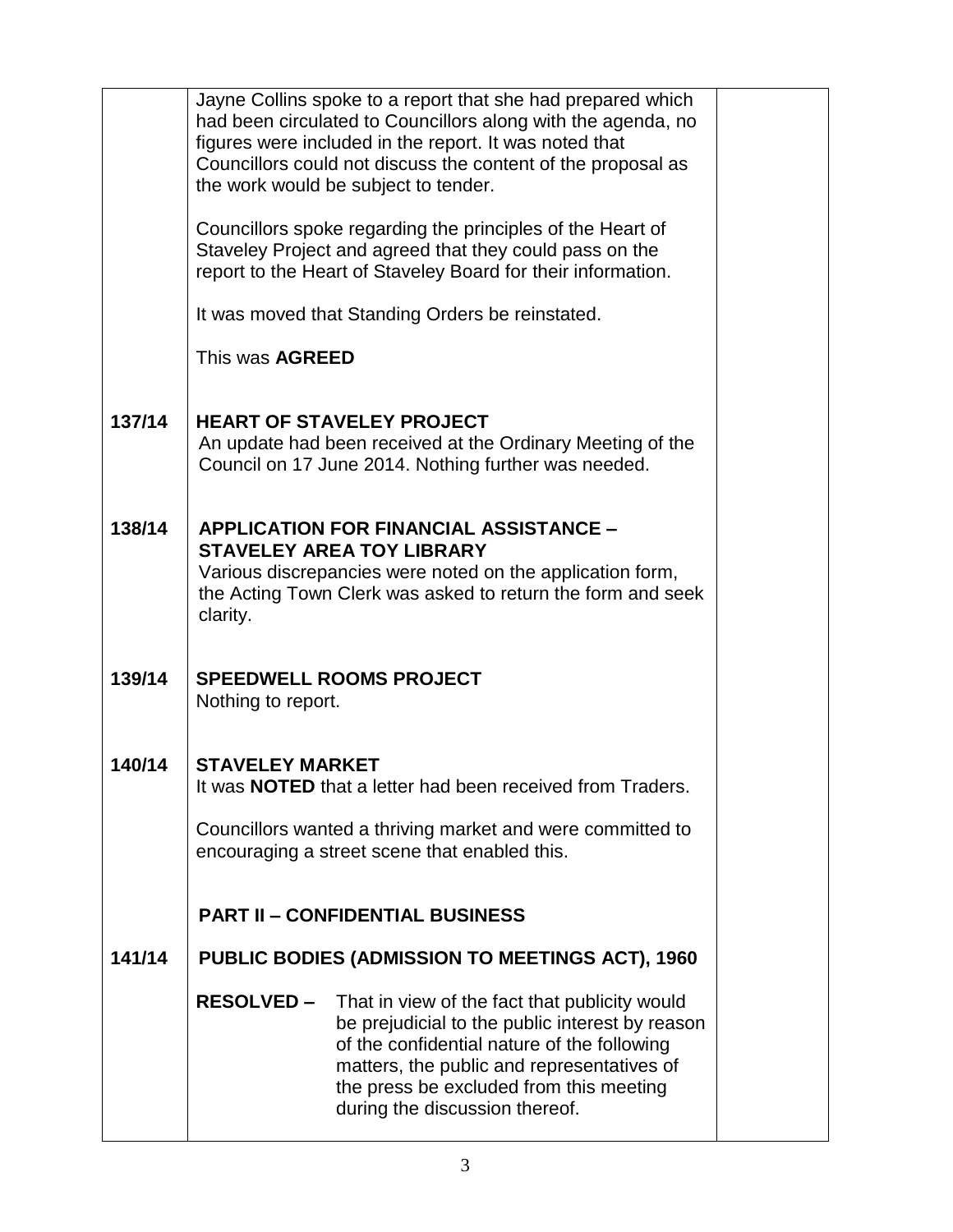|        |                                                                   | Jayne Collins spoke to a report that she had prepared which  |  |  |  |
|--------|-------------------------------------------------------------------|--------------------------------------------------------------|--|--|--|
|        | had been circulated to Councillors along with the agenda, no      |                                                              |  |  |  |
|        | figures were included in the report. It was noted that            |                                                              |  |  |  |
|        |                                                                   | Councillors could not discuss the content of the proposal as |  |  |  |
|        | the work would be subject to tender.                              |                                                              |  |  |  |
|        | Councillors spoke regarding the principles of the Heart of        |                                                              |  |  |  |
|        | Staveley Project and agreed that they could pass on the           |                                                              |  |  |  |
|        |                                                                   | report to the Heart of Staveley Board for their information. |  |  |  |
|        |                                                                   | It was moved that Standing Orders be reinstated.             |  |  |  |
|        | This was <b>AGREED</b>                                            |                                                              |  |  |  |
|        |                                                                   |                                                              |  |  |  |
| 137/14 |                                                                   | <b>HEART OF STAVELEY PROJECT</b>                             |  |  |  |
|        |                                                                   | An update had been received at the Ordinary Meeting of the   |  |  |  |
|        |                                                                   | Council on 17 June 2014. Nothing further was needed.         |  |  |  |
|        |                                                                   |                                                              |  |  |  |
| 138/14 |                                                                   | <b>APPLICATION FOR FINANCIAL ASSISTANCE -</b>                |  |  |  |
|        |                                                                   | <b>STAVELEY AREA TOY LIBRARY</b>                             |  |  |  |
|        |                                                                   | Various discrepancies were noted on the application form,    |  |  |  |
|        |                                                                   | the Acting Town Clerk was asked to return the form and seek  |  |  |  |
|        | clarity.                                                          |                                                              |  |  |  |
|        |                                                                   |                                                              |  |  |  |
| 139/14 |                                                                   | <b>SPEEDWELL ROOMS PROJECT</b>                               |  |  |  |
|        | Nothing to report.                                                |                                                              |  |  |  |
|        |                                                                   |                                                              |  |  |  |
| 140/14 | <b>STAVELEY MARKET</b>                                            |                                                              |  |  |  |
|        |                                                                   |                                                              |  |  |  |
|        | It was <b>NOTED</b> that a letter had been received from Traders. |                                                              |  |  |  |
|        | Councillors wanted a thriving market and were committed to        |                                                              |  |  |  |
|        | encouraging a street scene that enabled this.                     |                                                              |  |  |  |
|        |                                                                   |                                                              |  |  |  |
|        |                                                                   | <b>PART II - CONFIDENTIAL BUSINESS</b>                       |  |  |  |
|        |                                                                   |                                                              |  |  |  |
| 141/14 |                                                                   | <b>PUBLIC BODIES (ADMISSION TO MEETINGS ACT), 1960</b>       |  |  |  |
|        | <b>RESOLVED –</b>                                                 | That in view of the fact that publicity would                |  |  |  |
|        |                                                                   | be prejudicial to the public interest by reason              |  |  |  |
|        |                                                                   | of the confidential nature of the following                  |  |  |  |
|        |                                                                   | matters, the public and representatives of                   |  |  |  |
|        |                                                                   | the press be excluded from this meeting                      |  |  |  |
|        |                                                                   | during the discussion thereof.                               |  |  |  |
|        |                                                                   |                                                              |  |  |  |